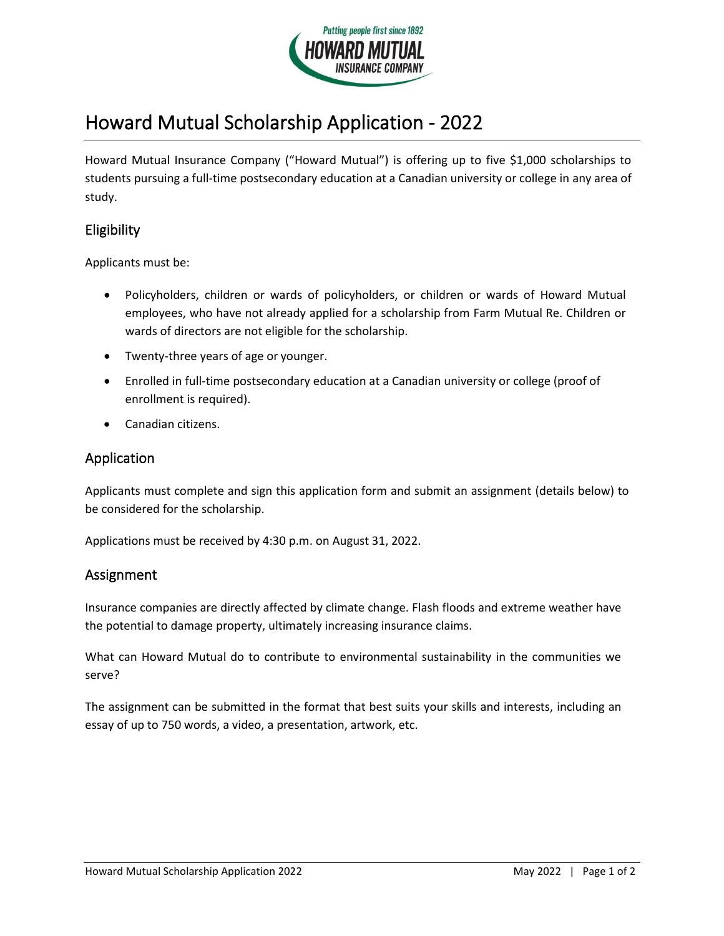

# Howard Mutual Scholarship Application - 2022

Howard Mutual Insurance Company ("Howard Mutual") is offering up to five \$1,000 scholarships to students pursuing a full-time postsecondary education at a Canadian university or college in any area of study.

## Eligibility

Applicants must be:

- Policyholders, children or wards of policyholders, or children or wards of Howard Mutual employees, who have not already applied for a scholarship from Farm Mutual Re. Children or wards of directors are not eligible for the scholarship.
- Twenty-three years of age or younger.
- Enrolled in full-time postsecondary education at a Canadian university or college (proof of enrollment is required).
- Canadian citizens.

#### Application

Applicants must complete and sign this application form and submit an assignment (details below) to be considered for the scholarship.

Applications must be received by 4:30 p.m. on August 31, 2022.

### Assignment

Insurance companies are directly affected by climate change. Flash floods and extreme weather have the potential to damage property, ultimately increasing insurance claims.

What can Howard Mutual do to contribute to environmental sustainability in the communities we serve?

The assignment can be submitted in the format that best suits your skills and interests, including an essay of up to 750 words, a video, a presentation, artwork, etc.